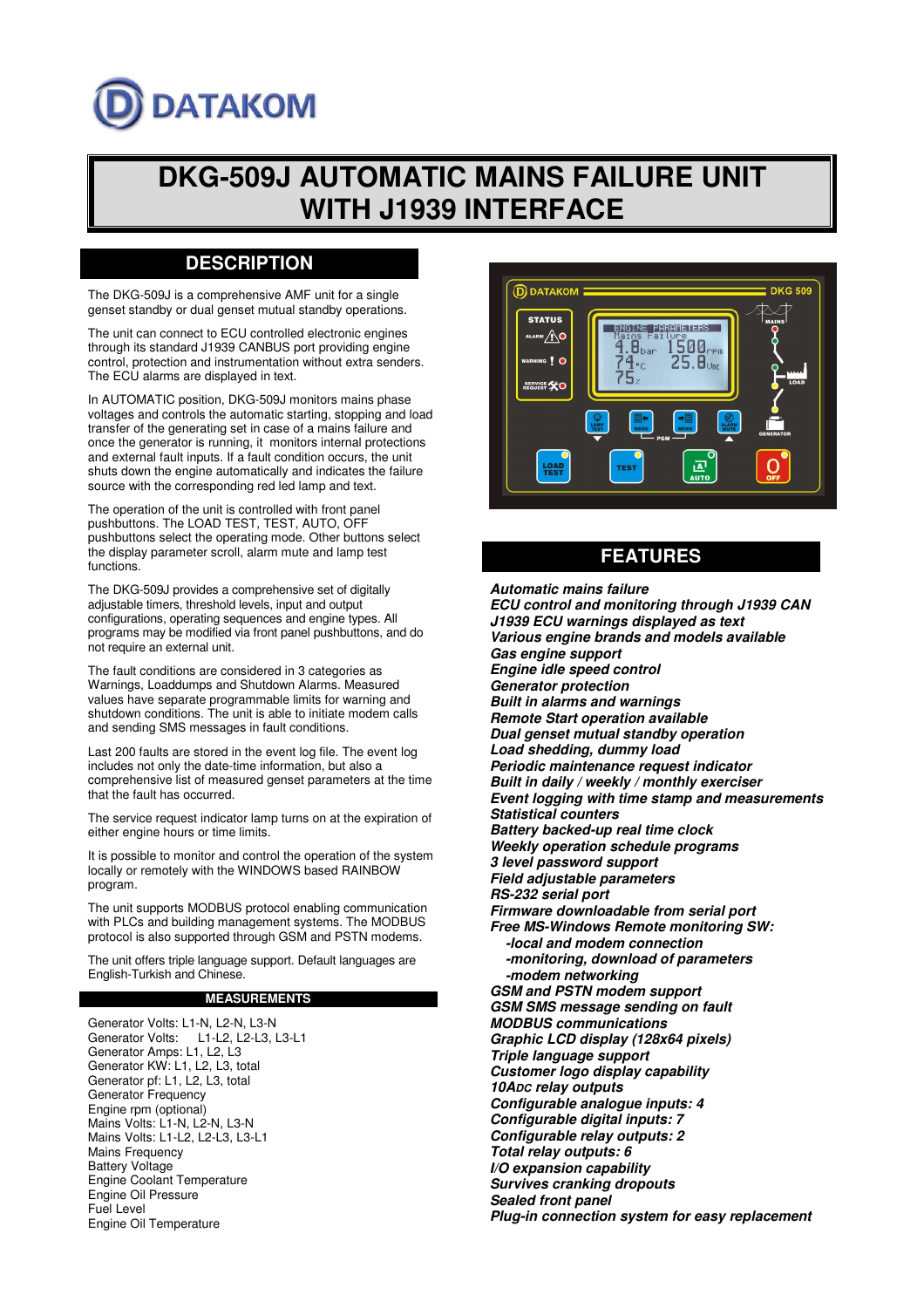# **DATAKOM**

# **DKG-509J AUTOMATIC MAINS FAILURE UNIT WITH J1939 INTERFACE**

## **DESCRIPTION**

The DKG-509J is a comprehensive AMF unit for a single genset standby or dual genset mutual standby operations.

The unit can connect to ECU controlled electronic engines through its standard J1939 CANBUS port providing engine control, protection and instrumentation without extra senders. The ECU alarms are displayed in text.

In AUTOMATIC position, DKG-509J monitors mains phase voltages and controls the automatic starting, stopping and load transfer of the generating set in case of a mains failure and once the generator is running, it monitors internal protections and external fault inputs. If a fault condition occurs, the unit shuts down the engine automatically and indicates the failure source with the corresponding red led lamp and text.

The operation of the unit is controlled with front panel pushbuttons. The LOAD TEST, TEST, AUTO, OFF pushbuttons select the operating mode. Other buttons select the display parameter scroll, alarm mute and lamp test functions.

The DKG-509J provides a comprehensive set of digitally adjustable timers, threshold levels, input and output configurations, operating sequences and engine types. All programs may be modified via front panel pushbuttons, and do not require an external unit.

The fault conditions are considered in 3 categories as Warnings, Loaddumps and Shutdown Alarms. Measured values have separate programmable limits for warning and shutdown conditions. The unit is able to initiate modem calls and sending SMS messages in fault conditions.

Last 200 faults are stored in the event log file. The event log includes not only the date-time information, but also a comprehensive list of measured genset parameters at the time that the fault has occurred.

The service request indicator lamp turns on at the expiration of either engine hours or time limits.

It is possible to monitor and control the operation of the system locally or remotely with the WINDOWS based RAINBOW program.

The unit supports MODBUS protocol enabling communication with PLCs and building management systems. The MODBUS protocol is also supported through GSM and PSTN modems.

The unit offers triple language support. Default languages are English-Turkish and Chinese.

#### **MEASUREMENTS**

Generator Volts: L1-N, L2-N, L3-N Generator Volts: L1-L2, L2-L3, L3-L1 Generator Amps: L1, L2, L3 Generator KW: L1, L2, L3, total Generator pf: L1, L2, L3, total Generator Frequency Engine rpm (optional) Mains Volts: L1-N, L2-N, L3-N Mains Volts: L1-L2, L2-L3, L3-L1 Mains Frequency Battery Voltage Engine Coolant Temperature Engine Oil Pressure Fuel Level Engine Oil Temperature



### **FEATURES**

**Automatic mains failure ECU control and monitoring through J1939 CAN J1939 ECU warnings displayed as text Various engine brands and models available Gas engine support Engine idle speed control Generator protection Built in alarms and warnings Remote Start operation available Dual genset mutual standby operation Load shedding, dummy load Periodic maintenance request indicator Built in daily / weekly / monthly exerciser Event logging with time stamp and measurements Statistical counters Battery backed-up real time clock Weekly operation schedule programs 3 level password support Field adjustable parameters RS-232 serial port Firmware downloadable from serial port Free MS-Windows Remote monitoring SW: -local and modem connection -monitoring, download of parameters -modem networking GSM and PSTN modem support GSM SMS message sending on fault MODBUS communications Graphic LCD display (128x64 pixels) Triple language support Customer logo display capability 10ADC relay outputs Configurable analogue inputs: 4 Configurable digital inputs: 7 Configurable relay outputs: 2 Total relay outputs: 6 I/O expansion capability Survives cranking dropouts Sealed front panel Plug-in connection system for easy replacement**